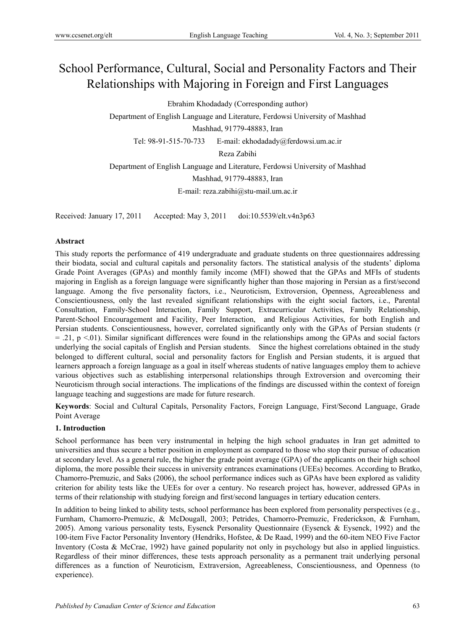# School Performance, Cultural, Social and Personality Factors and Their Relationships with Majoring in Foreign and First Languages

Ebrahim Khodadady (Corresponding author)

Department of English Language and Literature, Ferdowsi University of Mashhad

Mashhad, 91779-48883, Iran

Tel: 98-91-515-70-733 E-mail: ekhodadady@ferdowsi.um.ac.ir

Reza Zabihi

Department of English Language and Literature, Ferdowsi University of Mashhad

Mashhad, 91779-48883, Iran

E-mail: reza.zabihi@stu-mail.um.ac.ir

Received: January 17, 2011 Accepted: May 3, 2011 doi:10.5539/elt.v4n3p63

# **Abstract**

This study reports the performance of 419 undergraduate and graduate students on three questionnaires addressing their biodata, social and cultural capitals and personality factors. The statistical analysis of the students' diploma Grade Point Averages (GPAs) and monthly family income (MFI) showed that the GPAs and MFIs of students majoring in English as a foreign language were significantly higher than those majoring in Persian as a first/second language. Among the five personality factors, i.e., Neuroticism, Extroversion, Openness, Agreeableness and Conscientiousness, only the last revealed significant relationships with the eight social factors, i.e., Parental Consultation, Family-School Interaction, Family Support, Extracurricular Activities, Family Relationship, Parent-School Encouragement and Facility, Peer Interaction, and Religious Activities, for both English and Persian students. Conscientiousness, however, correlated significantly only with the GPAs of Persian students (r  $=$  .21, p <.01). Similar significant differences were found in the relationships among the GPAs and social factors underlying the social capitals of English and Persian students. Since the highest correlations obtained in the study belonged to different cultural, social and personality factors for English and Persian students, it is argued that learners approach a foreign language as a goal in itself whereas students of native languages employ them to achieve various objectives such as establishing interpersonal relationships through Extroversion and overcoming their Neuroticism through social interactions. The implications of the findings are discussed within the context of foreign language teaching and suggestions are made for future research.

**Keywords**: Social and Cultural Capitals, Personality Factors, Foreign Language, First/Second Language, Grade Point Average

# **1. Introduction**

School performance has been very instrumental in helping the high school graduates in Iran get admitted to universities and thus secure a better position in employment as compared to those who stop their pursue of education at secondary level. As a general rule, the higher the grade point average (GPA) of the applicants on their high school diploma, the more possible their success in university entrances examinations (UEEs) becomes. According to Bratko, Chamorro-Premuzic, and Saks (2006), the school performance indices such as GPAs have been explored as validity criterion for ability tests like the UEEs for over a century. No research project has, however, addressed GPAs in terms of their relationship with studying foreign and first/second languages in tertiary education centers.

In addition to being linked to ability tests, school performance has been explored from personality perspectives (e.g., Furnham, Chamorro-Premuzic, & McDougall, 2003; Petrides, Chamorro-Premuzic, Frederickson, & Furnham, 2005). Among various personality tests, Eysenck Personality Questionnaire (Eysenck & Eysenck, 1992) and the 100-item Five Factor Personality Inventory (Hendriks, Hofstee, & De Raad, 1999) and the 60-item NEO Five Factor Inventory (Costa & McCrae, 1992) have gained popularity not only in psychology but also in applied linguistics. Regardless of their minor differences, these tests approach personality as a permanent trait underlying personal differences as a function of Neuroticism, Extraversion, Agreeableness, Conscientiousness, and Openness (to experience).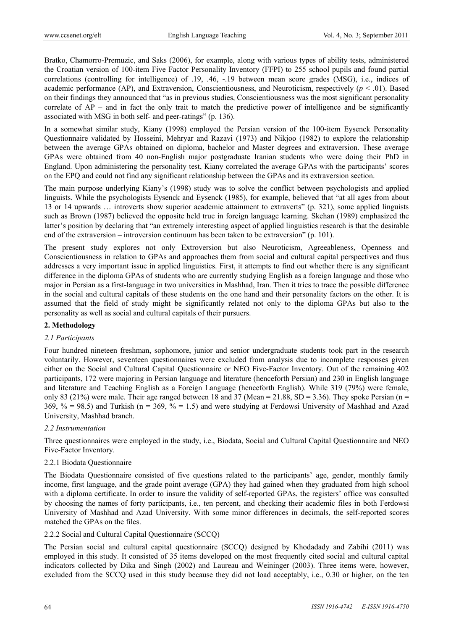Bratko, Chamorro-Premuzic, and Saks (2006), for example, along with various types of ability tests, administered the Croatian version of 100-item Five Factor Personality Inventory (FFPI) to 255 school pupils and found partial correlations (controlling for intelligence) of .19, .46, -.19 between mean score grades (MSG), i.e., indices of academic performance (AP), and Extraversion, Conscientiousness, and Neuroticism, respectively  $(p < .01)$ . Based on their findings they announced that "as in previous studies, Conscientiousness was the most significant personality correlate of  $AP -$  and in fact the only trait to match the predictive power of intelligence and be significantly associated with MSG in both self- and peer-ratings" (p. 136).

In a somewhat similar study, Kiany (1998) employed the Persian version of the 100-item Eysenck Personality Questionnaire validated by Hosseini, Mehryar and Razavi (1973) and Nikjoo (1982) to explore the relationship between the average GPAs obtained on diploma, bachelor and Master degrees and extraversion. These average GPAs were obtained from 40 non-English major postgraduate Iranian students who were doing their PhD in England. Upon administering the personality test, Kiany correlated the average GPAs with the participants' scores on the EPQ and could not find any significant relationship between the GPAs and its extraversion section.

The main purpose underlying Kiany's (1998) study was to solve the conflict between psychologists and applied linguists. While the psychologists Eysenck and Eysenck (1985), for example, believed that "at all ages from about 13 or 14 upwards … introverts show superior academic attainment to extraverts" (p. 321), some applied linguists such as Brown (1987) believed the opposite held true in foreign language learning. Skehan (1989) emphasized the latter's position by declaring that "an extremely interesting aspect of applied linguistics research is that the desirable end of the extraversion – introversion continuum has been taken to be extraversion" (p. 101).

The present study explores not only Extroversion but also Neuroticism, Agreeableness, Openness and Conscientiousness in relation to GPAs and approaches them from social and cultural capital perspectives and thus addresses a very important issue in applied linguistics. First, it attempts to find out whether there is any significant difference in the diploma GPAs of students who are currently studying English as a foreign language and those who major in Persian as a first-language in two universities in Mashhad, Iran. Then it tries to trace the possible difference in the social and cultural capitals of these students on the one hand and their personality factors on the other. It is assumed that the field of study might be significantly related not only to the diploma GPAs but also to the personality as well as social and cultural capitals of their pursuers.

# **2. Methodology**

# *2.1 Participants*

Four hundred nineteen freshman, sophomore, junior and senior undergraduate students took part in the research voluntarily. However, seventeen questionnaires were excluded from analysis due to incomplete responses given either on the Social and Cultural Capital Questionnaire or NEO Five-Factor Inventory. Out of the remaining 402 participants, 172 were majoring in Persian language and literature (henceforth Persian) and 230 in English language and literature and Teaching English as a Foreign Language (henceforth English). While 319 (79%) were female, only 83 (21%) were male. Their age ranged between 18 and 37 (Mean = 21.88, SD = 3.36). They spoke Persian (n = 369,  $\%$  = 98.5) and Turkish (n = 369,  $\%$  = 1.5) and were studying at Ferdowsi University of Mashhad and Azad University, Mashhad branch.

# *2.2 Instrumentation*

Three questionnaires were employed in the study, i.e., Biodata, Social and Cultural Capital Questionnaire and NEO Five-Factor Inventory.

# 2.2.1 Biodata Questionnaire

The Biodata Questionnaire consisted of five questions related to the participants' age, gender, monthly family income, first language, and the grade point average (GPA) they had gained when they graduated from high school with a diploma certificate. In order to insure the validity of self-reported GPAs, the registers' office was consulted by choosing the names of forty participants, i.e., ten percent, and checking their academic files in both Ferdowsi University of Mashhad and Azad University. With some minor differences in decimals, the self-reported scores matched the GPAs on the files.

# 2.2.2 Social and Cultural Capital Questionnaire (SCCQ)

The Persian social and cultural capital questionnaire (SCCQ) designed by Khodadady and Zabihi (2011) was employed in this study. It consisted of 35 items developed on the most frequently cited social and cultural capital indicators collected by Dika and Singh (2002) and Laureau and Weininger (2003). Three items were, however, excluded from the SCCQ used in this study because they did not load acceptably, i.e., 0.30 or higher, on the ten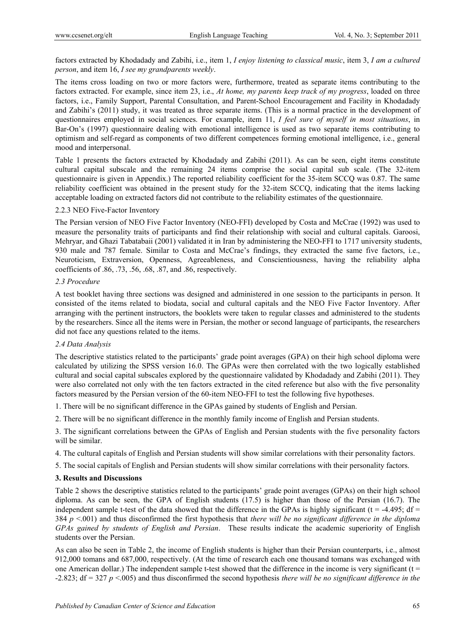factors extracted by Khodadady and Zabihi, i.e., item 1, *I enjoy listening to classical music*, item 3, *I am a cultured person*, and item 16, *I see my grandparents weekly*.

The items cross loading on two or more factors were, furthermore, treated as separate items contributing to the factors extracted. For example, since item 23, i.e., *At home, my parents keep track of my progress*, loaded on three factors, i.e., Family Support, Parental Consultation, and Parent-School Encouragement and Facility in Khodadady and Zabihi's (2011) study, it was treated as three separate items. (This is a normal practice in the development of questionnaires employed in social sciences. For example, item 11, *I feel sure of myself in most situations*, in Bar-On's (1997) questionnaire dealing with emotional intelligence is used as two separate items contributing to optimism and self-regard as components of two different competences forming emotional intelligence, i.e., general mood and interpersonal.

Table 1 presents the factors extracted by Khodadady and Zabihi (2011). As can be seen, eight items constitute cultural capital subscale and the remaining 24 items comprise the social capital sub scale. (The 32-item questionnaire is given in Appendix.) The reported reliability coefficient for the 35-item SCCQ was 0.87. The same reliability coefficient was obtained in the present study for the 32-item SCCQ, indicating that the items lacking acceptable loading on extracted factors did not contribute to the reliability estimates of the questionnaire.

# 2.2.3 NEO Five-Factor Inventory

The Persian version of NEO Five Factor Inventory (NEO-FFI) developed by Costa and McCrae (1992) was used to measure the personality traits of participants and find their relationship with social and cultural capitals. Garoosi, Mehryar, and Ghazi Tabatabaii (2001) validated it in Iran by administering the NEO-FFI to 1717 university students, 930 male and 787 female. Similar to Costa and McCrae's findings, they extracted the same five factors, i.e., Neuroticism, Extraversion, Openness, Agreeableness, and Conscientiousness, having the reliability alpha coefficients of .86, .73, .56, .68, .87, and .86, respectively.

# *2.3 Procedure*

A test booklet having three sections was designed and administered in one session to the participants in person. It consisted of the items related to biodata, social and cultural capitals and the NEO Five Factor Inventory. After arranging with the pertinent instructors, the booklets were taken to regular classes and administered to the students by the researchers. Since all the items were in Persian, the mother or second language of participants, the researchers did not face any questions related to the items.

# *2.4 Data Analysis*

The descriptive statistics related to the participants' grade point averages (GPA) on their high school diploma were calculated by utilizing the SPSS version 16.0. The GPAs were then correlated with the two logically established cultural and social capital subscales explored by the questionnaire validated by Khodadady and Zabihi (2011). They were also correlated not only with the ten factors extracted in the cited reference but also with the five personality factors measured by the Persian version of the 60-item NEO-FFI to test the following five hypotheses.

1. There will be no significant difference in the GPAs gained by students of English and Persian.

2. There will be no significant difference in the monthly family income of English and Persian students.

3. The significant correlations between the GPAs of English and Persian students with the five personality factors will be similar.

4. The cultural capitals of English and Persian students will show similar correlations with their personality factors.

5. The social capitals of English and Persian students will show similar correlations with their personality factors.

#### **3. Results and Discussions**

Table 2 shows the descriptive statistics related to the participants' grade point averages (GPAs) on their high school diploma. As can be seen, the GPA of English students (17.5) is higher than those of the Persian (16.7). The independent sample t-test of the data showed that the difference in the GPAs is highly significant ( $t = -4.495$ ; df = 384 *p* <.001) and thus disconfirmed the first hypothesis that *there will be no significant difference in the diploma GPAs gained by students of English and Persian*. These results indicate the academic superiority of English students over the Persian.

As can also be seen in Table 2, the income of English students is higher than their Persian counterparts, i.e., almost 912,000 tomans and 687,000, respectively. (At the time of research each one thousand tomans was exchanged with one American dollar.) The independent sample t-test showed that the difference in the income is very significant ( $t =$ -2.823; df = 327 *p* <.005) and thus disconfirmed the second hypothesis *there will be no significant difference in the*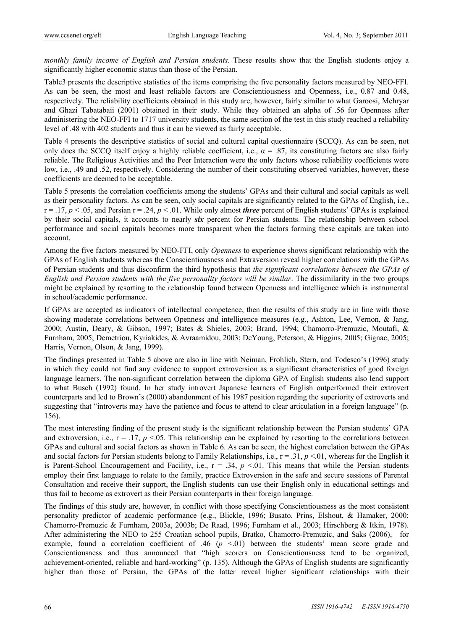*monthly family income of English and Persian students*. These results show that the English students enjoy a significantly higher economic status than those of the Persian.

Table3 presents the descriptive statistics of the items comprising the five personality factors measured by NEO-FFI. As can be seen, the most and least reliable factors are Conscientiousness and Openness, i.e., 0.87 and 0.48, respectively. The reliability coefficients obtained in this study are, however, fairly similar to what Garoosi, Mehryar and Ghazi Tabatabaii (2001) obtained in their study. While they obtained an alpha of .56 for Openness after administering the NEO-FFI to 1717 university students, the same section of the test in this study reached a reliability level of .48 with 402 students and thus it can be viewed as fairly acceptable.

Table 4 presents the descriptive statistics of social and cultural capital questionnaire (SCCQ). As can be seen, not only does the SCCQ itself enjoy a highly reliable coefficient, i.e.,  $\alpha = .87$ , its constituting factors are also fairly reliable. The Religious Activities and the Peer Interaction were the only factors whose reliability coefficients were low, i.e., .49 and .52, respectively. Considering the number of their constituting observed variables, however, these coefficients are deemed to be acceptable.

Table 5 presents the correlation coefficients among the students' GPAs and their cultural and social capitals as well as their personality factors. As can be seen, only social capitals are significantly related to the GPAs of English, i.e.,  $r = .17$ ,  $p < .05$ , and Persian  $r = .24$ ,  $p < .01$ . While only almost *three* percent of English students' GPAs is explained by their social capitals, it accounts to nearly *six* percent for Persian students. The relationship between school performance and social capitals becomes more transparent when the factors forming these capitals are taken into account.

Among the five factors measured by NEO-FFI, only *Openness* to experience shows significant relationship with the GPAs of English students whereas the Conscientiousness and Extraversion reveal higher correlations with the GPAs of Persian students and thus disconfirm the third hypothesis that *the significant correlations between the GPAs of English and Persian students with the five personality factors will be similar*. The dissimilarity in the two groups might be explained by resorting to the relationship found between Openness and intelligence which is instrumental in school/academic performance.

If GPAs are accepted as indicators of intellectual competence, then the results of this study are in line with those showing moderate correlations between Openness and intelligence measures (e.g., Ashton, Lee, Vernon, & Jang, 2000; Austin, Deary, & Gibson, 1997; Bates & Shieles, 2003; Brand, 1994; Chamorro-Premuzic, Moutafi, & Furnham, 2005; Demetriou, Kyriakides, & Avraamidou, 2003; DeYoung, Peterson, & Higgins, 2005; Gignac, 2005; Harris, Vernon, Olson, & Jang, 1999).

The findings presented in Table 5 above are also in line with Neiman, Frohlich, Stern, and Todesco's (1996) study in which they could not find any evidence to support extroversion as a significant characteristics of good foreign language learners. The non-significant correlation between the diploma GPA of English students also lend support to what Busch (1992) found. In her study introvert Japanese learners of English outperformed their extrovert counterparts and led to Brown's (2000) abandonment of his 1987 position regarding the superiority of extroverts and suggesting that "introverts may have the patience and focus to attend to clear articulation in a foreign language" (p. 156).

The most interesting finding of the present study is the significant relationship between the Persian students' GPA and extroversion, i.e.,  $r = .17$ ,  $p < .05$ . This relationship can be explained by resorting to the correlations between GPAs and cultural and social factors as shown in Table 6. As can be seen, the highest correlation between the GPAs and social factors for Persian students belong to Family Relationships, i.e.,  $r = .31$ ,  $p < .01$ , whereas for the English it is Parent-School Encouragement and Facility, i.e.,  $r = .34$ ,  $p < .01$ . This means that while the Persian students employ their first language to relate to the family, practice Extroversion in the safe and secure sessions of Parental Consultation and receive their support, the English students can use their English only in educational settings and thus fail to become as extrovert as their Persian counterparts in their foreign language.

The findings of this study are, however, in conflict with those specifying Conscientiousness as the most consistent personality predictor of academic performance (e.g., Blickle, 1996; Busato, Prins, Elshout, & Hamaker, 2000; Chamorro-Premuzic & Furnham, 2003a, 2003b; De Raad, 1996; Furnham et al., 2003; Hirschberg & Itkin, 1978). After administering the NEO to 255 Croatian school pupils, Bratko, Chamorro-Premuzic, and Saks (2006), for example, found a correlation coefficient of .46  $(p \le 0)$  between the students' mean score grade and Conscientiousness and thus announced that "high scorers on Conscientiousness tend to be organized, achievement-oriented, reliable and hard-working" (p. 135). Although the GPAs of English students are significantly higher than those of Persian, the GPAs of the latter reveal higher significant relationships with their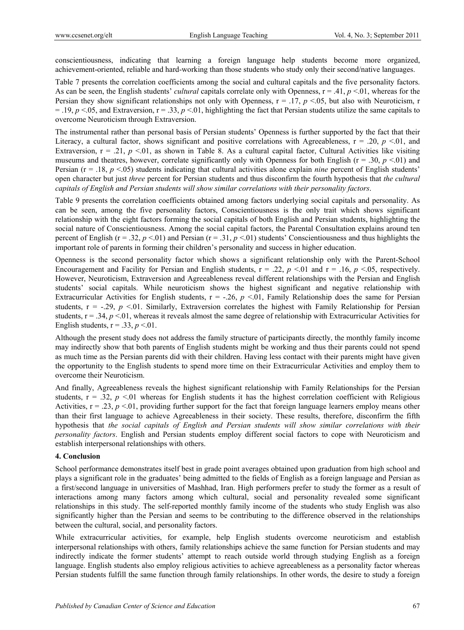conscientiousness, indicating that learning a foreign language help students become more organized, achievement-oriented, reliable and hard-working than those students who study only their second/native languages.

Table 7 presents the correlation coefficients among the social and cultural capitals and the five personality factors. As can be seen, the English students' *cultural* capitals correlate only with Openness,  $r = .41$ ,  $p < .01$ , whereas for the Persian they show significant relationships not only with Openness,  $r = .17$ ,  $p < .05$ , but also with Neuroticism, r  $=$ .19, *p* <.05, and Extraversion, r = .33, *p* <.01, highlighting the fact that Persian students utilize the same capitals to overcome Neuroticism through Extraversion.

The instrumental rather than personal basis of Persian students' Openness is further supported by the fact that their Literacy, a cultural factor, shows significant and positive correlations with Agreeableness,  $r = .20$ ,  $p < .01$ , and Extraversion,  $r = .21$ ,  $p < .01$ , as shown in Table 8. As a cultural capital factor, Cultural Activities like visiting museums and theatres, however, correlate significantly only with Openness for both English ( $r = .30$ ,  $p < .01$ ) and Persian (r = .18, *p* <.05) students indicating that cultural activities alone explain *nine* percent of English students' open character but just *three* percent for Persian students and thus disconfirm the fourth hypothesis that *the cultural capitals of English and Persian students will show similar correlations with their personality factors*.

Table 9 presents the correlation coefficients obtained among factors underlying social capitals and personality. As can be seen, among the five personality factors, Conscientiousness is the only trait which shows significant relationship with the eight factors forming the social capitals of both English and Persian students, highlighting the social nature of Conscientiousness. Among the social capital factors, the Parental Consultation explains around ten percent of English ( $r = .32$ ,  $p < .01$ ) and Persian ( $r = .31$ ,  $p < .01$ ) students' Conscientiousness and thus highlights the important role of parents in forming their children's personality and success in higher education.

Openness is the second personality factor which shows a significant relationship only with the Parent-School Encouragement and Facility for Persian and English students,  $r = .22$ ,  $p < .01$  and  $r = .16$ ,  $p < .05$ , respectively. However, Neuroticism, Extraversion and Agreeableness reveal different relationships with the Persian and English students' social capitals. While neuroticism shows the highest significant and negative relationship with Extracurricular Activities for English students,  $r = -.26$ ,  $p < .01$ , Family Relationship does the same for Persian students,  $r = -29$ ,  $p < 01$ . Similarly, Extraversion correlates the highest with Family Relationship for Persian students,  $r = 0.34$ ,  $p < 0.01$ , whereas it reveals almost the same degree of relationship with Extracurricular Activities for English students,  $r = .33$ ,  $p < .01$ .

Although the present study does not address the family structure of participants directly, the monthly family income may indirectly show that both parents of English students might be working and thus their parents could not spend as much time as the Persian parents did with their children. Having less contact with their parents might have given the opportunity to the English students to spend more time on their Extracurricular Activities and employ them to overcome their Neuroticism.

And finally, Agreeableness reveals the highest significant relationship with Family Relationships for the Persian students,  $r = .32$ ,  $p < .01$  whereas for English students it has the highest correlation coefficient with Religious Activities,  $r = .23$ ,  $p < .01$ , providing further support for the fact that foreign language learners employ means other than their first language to achieve Agreeableness in their society. These results, therefore, disconfirm the fifth hypothesis that *the social capitals of English and Persian students will show similar correlations with their personality factors*. English and Persian students employ different social factors to cope with Neuroticism and establish interpersonal relationships with others.

# **4. Conclusion**

School performance demonstrates itself best in grade point averages obtained upon graduation from high school and plays a significant role in the graduates' being admitted to the fields of English as a foreign language and Persian as a first/second language in universities of Mashhad, Iran. High performers prefer to study the former as a result of interactions among many factors among which cultural, social and personality revealed some significant relationships in this study. The self-reported monthly family income of the students who study English was also significantly higher than the Persian and seems to be contributing to the difference observed in the relationships between the cultural, social, and personality factors.

While extracurricular activities, for example, help English students overcome neuroticism and establish interpersonal relationships with others, family relationships achieve the same function for Persian students and may indirectly indicate the former students' attempt to reach outside world through studying English as a foreign language. English students also employ religious activities to achieve agreeableness as a personality factor whereas Persian students fulfill the same function through family relationships. In other words, the desire to study a foreign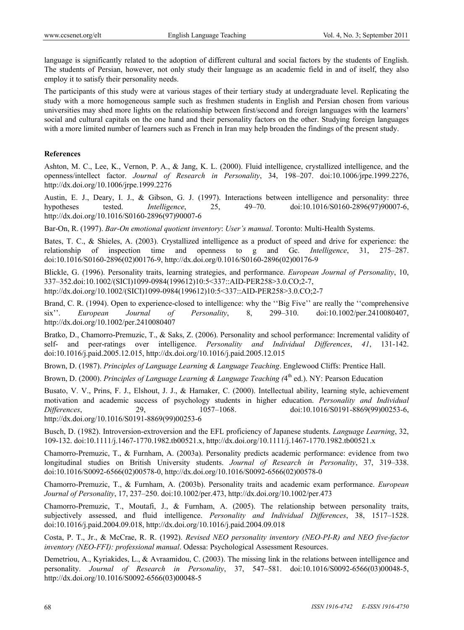language is significantly related to the adoption of different cultural and social factors by the students of English. The students of Persian, however, not only study their language as an academic field in and of itself, they also employ it to satisfy their personality needs.

The participants of this study were at various stages of their tertiary study at undergraduate level. Replicating the study with a more homogeneous sample such as freshmen students in English and Persian chosen from various universities may shed more lights on the relationship between first/second and foreign languages with the learners' social and cultural capitals on the one hand and their personality factors on the other. Studying foreign languages with a more limited number of learners such as French in Iran may help broaden the findings of the present study.

# **References**

Ashton, M. C., Lee, K., Vernon, P. A., & Jang, K. L. (2000). Fluid intelligence, crystallized intelligence, and the openness/intellect factor. *Journal of Research in Personality*, 34, 198–207. doi:10.1006/jrpe.1999.2276, http://dx.doi.org/10.1006/jrpe.1999.2276

Austin, E. J., Deary, I. J., & Gibson, G. J. (1997). Interactions between intelligence and personality: three hypotheses tested. *Intelligence*, 25, 49–70. doi:10.1016/S0160-2896(97)90007-6, http://dx.doi.org/10.1016/S0160-2896(97)90007-6

Bar-On, R. (1997). *Bar-On emotional quotient inventory*: *User's manual*. Toronto: Multi-Health Systems.

Bates, T. C., & Shieles, A. (2003). Crystallized intelligence as a product of speed and drive for experience: the relationship of inspection time and openness to g and Gc. *Intelligence*, 31, 275–287. doi:10.1016/S0160-2896(02)00176-9, http://dx.doi.org/0.1016/S0160-2896(02)00176-9

Blickle, G. (1996). Personality traits, learning strategies, and performance. *European Journal of Personality*, 10, 337–352.doi:10.1002/(SICI)1099-0984(199612)10:5<337::AID-PER258>3.0.CO;2-7, http://dx.doi.org/10.1002/(SICI)1099-0984(199612)10:5<337::AID-PER258>3.0.CO;2-7

Brand, C. R. (1994). Open to experience-closed to intelligence: why the ''Big Five'' are really the ''comprehensive six''. *European Journal of Personality*, 8, 299–310. doi:10.1002/per.2410080407, http://dx.doi.org/10.1002/per.2410080407

Bratko, D., Chamorro-Premuzic, T., & Saks, Z. (2006). Personality and school performance: Incremental validity of self- and peer-ratings over intelligence. *Personality and Individual Differences*, *41*, 131-142. doi:10.1016/j.paid.2005.12.015, http://dx.doi.org/10.1016/j.paid.2005.12.015

Brown, D. (1987). *Principles of Language Learning & Language Teaching*. Englewood Cliffs: Prentice Hall.

Brown, D. (2000). *Principles of Language Learning & Language Teaching (4th ed.)*. NY: Pearson Education

Busato, V. V., Prins, F. J., Elshout, J. J., & Hamaker, C. (2000). Intellectual ability, learning style, achievement motivation and academic success of psychology students in higher education. *Personality and Individual Differences*, 29, 1057–1068. doi:10.1016/S0191-8869(99)00253-6, http://dx.doi.org/10.1016/S0191-8869(99)00253-6

Busch, D. (1982). Introversion-extroversion and the EFL proficiency of Japanese students. *Language Learning*, 32, 109-132. doi:10.1111/j.1467-1770.1982.tb00521.x, http://dx.doi.org/10.1111/j.1467-1770.1982.tb00521.x

Chamorro-Premuzic, T., & Furnham, A. (2003a). Personality predicts academic performance: evidence from two longitudinal studies on British University students. *Journal of Research in Personality*, 37, 319–338. doi:10.1016/S0092-6566(02)00578-0, http://dx.doi.org/10.1016/S0092-6566(02)00578-0

Chamorro-Premuzic, T., & Furnham, A. (2003b). Personality traits and academic exam performance. *European Journal of Personality*, 17, 237–250. doi:10.1002/per.473, http://dx.doi.org/10.1002/per.473

Chamorro-Premuzic, T., Moutafi, J., & Furnham, A. (2005). The relationship between personality traits, subjectively assessed, and fluid intelligence. *Personality and Individual Differences*, 38, 1517–1528. doi:10.1016/j.paid.2004.09.018, http://dx.doi.org/10.1016/j.paid.2004.09.018

Costa, P. T., Jr., & McCrae, R. R. (1992). *Revised NEO personality inventory (NEO-PI-R) and NEO five-factor inventory (NEO-FFI): professional manual*. Odessa: Psychological Assessment Resources.

Demetriou, A., Kyriakides, L., & Avraamidou, C. (2003). The missing link in the relations between intelligence and personality. *Journal of Research in Personality*, 37, 547–581. doi:10.1016/S0092-6566(03)00048-5, http://dx.doi.org/10.1016/S0092-6566(03)00048-5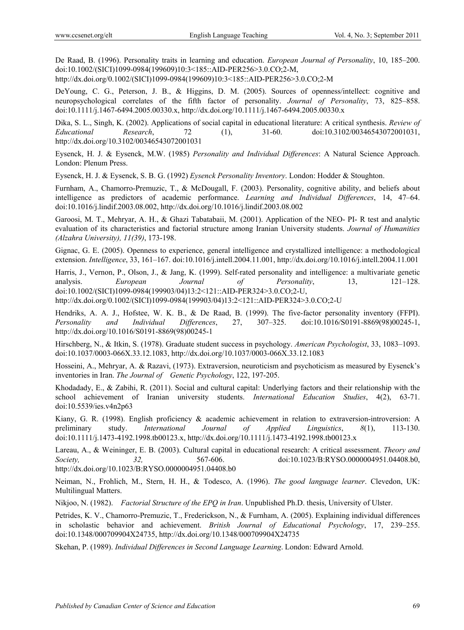De Raad, B. (1996). Personality traits in learning and education. *European Journal of Personality*, 10, 185–200. doi:10.1002/(SICI)1099-0984(199609)10:3<185::AID-PER256>3.0.CO;2-M,

http://dx.doi.org/0.1002/(SICI)1099-0984(199609)10:3<185::AID-PER256>3.0.CO;2-M

DeYoung, C. G., Peterson, J. B., & Higgins, D. M. (2005). Sources of openness/intellect: cognitive and neuropsychological correlates of the fifth factor of personality. *Journal of Personality*, 73, 825–858. doi:10.1111/j.1467-6494.2005.00330.x, http://dx.doi.org/10.1111/j.1467-6494.2005.00330.x

Dika, S. L., Singh, K. (2002). Applications of social capital in educational literature: A critical synthesis. *Review of Educational Research*, 72 (1), 31-60. doi:10.3102/00346543072001031, http://dx.doi.org/10.3102/00346543072001031

Eysenck, H. J. & Eysenck, M.W. (1985) *Personality and Individual Differences*: A Natural Science Approach. London: Plenum Press.

Eysenck, H. J. & Eysenck, S. B. G. (1992) *Eysenck Personality Inventory*. London: Hodder & Stoughton.

Furnham, A., Chamorro-Premuzic, T., & McDougall, F. (2003). Personality, cognitive ability, and beliefs about intelligence as predictors of academic performance. *Learning and Individual Differences*, 14, 47–64. doi:10.1016/j.lindif.2003.08.002, http://dx.doi.org/10.1016/j.lindif.2003.08.002

Garoosi, M. T., Mehryar, A. H., & Ghazi Tabatabaii, M. (2001). Application of the NEO- PI- R test and analytic evaluation of its characteristics and factorial structure among Iranian University students. *Journal of Humanities (Alzahra University), 11(39)*, 173-198.

Gignac, G. E. (2005). Openness to experience, general intelligence and crystallized intelligence: a methodological extension. *Intelligence*, 33, 161–167. doi:10.1016/j.intell.2004.11.001, http://dx.doi.org/10.1016/j.intell.2004.11.001

Harris, J., Vernon, P., Olson, J., & Jang, K. (1999). Self-rated personality and intelligence: a multivariate genetic analysis. *European Journal of Personality*, 13, 121–128. doi:10.1002/(SICI)1099-0984(199903/04)13:2<121::AID-PER324>3.0.CO;2-U, http://dx.doi.org/0.1002/(SICI)1099-0984(199903/04)13:2<121::AID-PER324>3.0.CO;2-U

Hendriks, A. A. J., Hofstee, W. K. B., & De Raad, B. (1999). The five-factor personality inventory (FFPI). *Personality and Individual Differences*, 27, 307–325. doi:10.1016/S0191-8869(98)00245-1, http://dx.doi.org/10.1016/S0191-8869(98)00245-1

Hirschberg, N., & Itkin, S. (1978). Graduate student success in psychology. *American Psychologist*, 33, 1083–1093. doi:10.1037/0003-066X.33.12.1083, http://dx.doi.org/10.1037/0003-066X.33.12.1083

Hosseini, A., Mehryar, A. & Razavi, (1973). Extraversion, neuroticism and psychoticism as measured by Eysenck's inventories in Iran. *The Journal of Genetic Psychology*, 122, 197-205.

Khodadady, E., & Zabihi, R. (2011). Social and cultural capital: Underlying factors and their relationship with the school achievement of Iranian university students. *International Education Studies*, 4(2), 63-71. doi:10.5539/ies.v4n2p63

Kiany, G. R. (1998). English proficiency & academic achievement in relation to extraversion-introversion: A preliminary study. *International Journal of Applied Linguistics*, *8*(1), 113-130. doi:10.1111/j.1473-4192.1998.tb00123.x, http://dx.doi.org/10.1111/j.1473-4192.1998.tb00123.x

Lareau, A., & Weininger, E. B. (2003). Cultural capital in educational research: A critical assessment. *Theory and Society, 32,* 567-606. doi:10.1023/B:RYSO.0000004951.04408.b0, http://dx.doi.org/10.1023/B:RYSO.0000004951.04408.b0

Neiman, N., Frohlich, M., Stern, H. H., & Todesco, A. (1996). *The good language learner*. Clevedon, UK: Multilingual Matters.

Nikjoo, N. (1982). *Factorial Structure of the EPQ in Iran*. Unpublished Ph.D. thesis, University of Ulster.

Petrides, K. V., Chamorro-Premuzic, T., Frederickson, N., & Furnham, A. (2005). Explaining individual differences in scholastic behavior and achievement. *British Journal of Educational Psychology*, 17, 239–255. doi:10.1348/000709904X24735, http://dx.doi.org/10.1348/000709904X24735

Skehan, P. (1989). *Individual Differences in Second Language Learning*. London: Edward Arnold.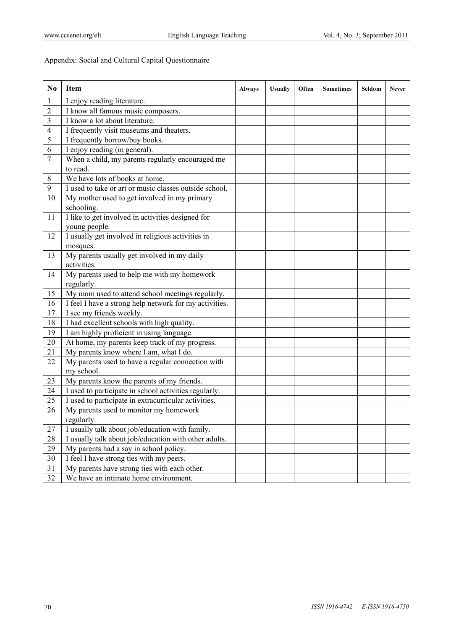| N <sub>0</sub>          | <b>Item</b>                                            | <b>Always</b> | <b>Usually</b> | Often | <b>Sometimes</b> | Seldom | <b>Never</b> |
|-------------------------|--------------------------------------------------------|---------------|----------------|-------|------------------|--------|--------------|
| $\mathbf{1}$            | I enjoy reading literature.                            |               |                |       |                  |        |              |
| $\overline{c}$          | I know all famous music composers.                     |               |                |       |                  |        |              |
| $\overline{\mathbf{3}}$ | I know a lot about literature.                         |               |                |       |                  |        |              |
| $\overline{4}$          | I frequently visit museums and theaters.               |               |                |       |                  |        |              |
| 5                       | I frequently borrow/buy books.                         |               |                |       |                  |        |              |
| 6                       | I enjoy reading (in general).                          |               |                |       |                  |        |              |
| $\overline{7}$          | When a child, my parents regularly encouraged me       |               |                |       |                  |        |              |
|                         | to read.                                               |               |                |       |                  |        |              |
| 8                       | We have lots of books at home.                         |               |                |       |                  |        |              |
| 9                       | I used to take or art or music classes outside school. |               |                |       |                  |        |              |
| 10                      | My mother used to get involved in my primary           |               |                |       |                  |        |              |
|                         | schooling.                                             |               |                |       |                  |        |              |
| 11                      | I like to get involved in activities designed for      |               |                |       |                  |        |              |
|                         | young people.                                          |               |                |       |                  |        |              |
| 12                      | I usually get involved in religious activities in      |               |                |       |                  |        |              |
|                         | mosques.                                               |               |                |       |                  |        |              |
| 13                      | My parents usually get involved in my daily            |               |                |       |                  |        |              |
|                         | activities.                                            |               |                |       |                  |        |              |
| 14                      | My parents used to help me with my homework            |               |                |       |                  |        |              |
|                         | regularly.                                             |               |                |       |                  |        |              |
| 15                      | My mom used to attend school meetings regularly.       |               |                |       |                  |        |              |
| 16                      | I feel I have a strong help network for my activities. |               |                |       |                  |        |              |
| 17                      | I see my friends weekly.                               |               |                |       |                  |        |              |
| 18                      | I had excellent schools with high quality.             |               |                |       |                  |        |              |
| 19                      | I am highly proficient in using language.              |               |                |       |                  |        |              |
| $20\,$                  | At home, my parents keep track of my progress.         |               |                |       |                  |        |              |
| 21                      | My parents know where I am, what I do.                 |               |                |       |                  |        |              |
| 22                      | My parents used to have a regular connection with      |               |                |       |                  |        |              |
|                         | my school.                                             |               |                |       |                  |        |              |
| 23                      | My parents know the parents of my friends.             |               |                |       |                  |        |              |
| 24                      | I used to participate in school activities regularly.  |               |                |       |                  |        |              |
| 25                      | I used to participate in extracurricular activities.   |               |                |       |                  |        |              |
| 26                      | My parents used to monitor my homework                 |               |                |       |                  |        |              |
|                         | regularly.                                             |               |                |       |                  |        |              |
| 27                      | I usually talk about job/education with family.        |               |                |       |                  |        |              |
| 28                      | I usually talk about job/education with other adults.  |               |                |       |                  |        |              |
| 29                      | My parents had a say in school policy.                 |               |                |       |                  |        |              |
| 30                      | I feel I have strong ties with my peers.               |               |                |       |                  |        |              |
| 31                      | My parents have strong ties with each other.           |               |                |       |                  |        |              |
| 32                      | We have an intimate home environment.                  |               |                |       |                  |        |              |

# Appendix: Social and Cultural Capital Questionnaire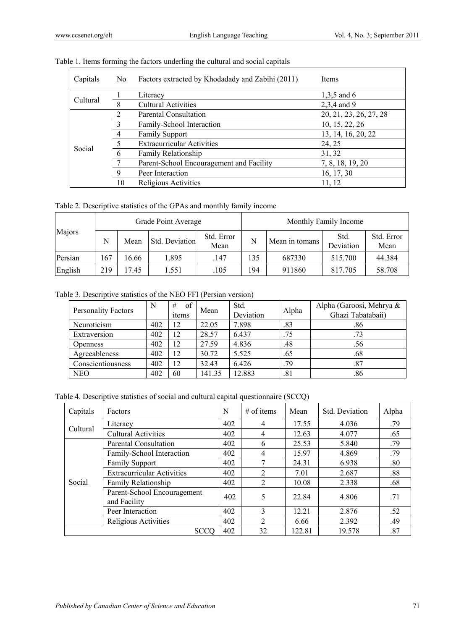| Capitals | N <sub>0</sub> | Factors extracted by Khodadady and Zabihi (2011) | <b>Items</b>           |
|----------|----------------|--------------------------------------------------|------------------------|
| Cultural |                | Literacy                                         | $1,3,5$ and 6          |
|          | 8              | <b>Cultural Activities</b>                       | 2,3,4 and 9            |
|          | $\overline{2}$ | <b>Parental Consultation</b>                     | 20, 21, 23, 26, 27, 28 |
|          | 3              | Family-School Interaction                        | 10, 15, 22, 26         |
|          | 4              | <b>Family Support</b>                            | 13, 14, 16, 20, 22     |
| Social   | 5              | <b>Extracurricular Activities</b>                | 24, 25                 |
|          | 6              | Family Relationship                              | 31, 32                 |
|          |                | Parent-School Encouragement and Facility         | 7, 8, 18, 19, 20       |
|          | 9              | Peer Interaction                                 | 16, 17, 30             |
|          | 10             | Religious Activities                             | 11, 12                 |

|  |  | Table 1. Items forming the factors underling the cultural and social capitals |  |  |
|--|--|-------------------------------------------------------------------------------|--|--|
|  |  |                                                                               |  |  |

Table 2. Descriptive statistics of the GPAs and monthly family income

|         | Grade Point Average |       |                |                    |     | Monthly Family Income |                   |                    |  |  |  |
|---------|---------------------|-------|----------------|--------------------|-----|-----------------------|-------------------|--------------------|--|--|--|
| Majors  | N                   | Mean  | Std. Deviation | Std. Error<br>Mean | N   | Mean in tomans        | Std.<br>Deviation | Std. Error<br>Mean |  |  |  |
| Persian | 167                 | 16.66 | 1.895          | .147               | 135 | 687330                | 515.700           | 44.384             |  |  |  |
| English | 219                 | 17.45 | 1.551          | .105               | 194 | 911860                | 817.705           | 58.708             |  |  |  |

Table 3. Descriptive statistics of the NEO FFI (Persian version)

| <b>Personality Factors</b> | N   | #<br>of<br>items | Mean   | Std.<br>Deviation | Alpha | Alpha (Garoosi, Mehrya &<br>Ghazi Tabatabaii) |
|----------------------------|-----|------------------|--------|-------------------|-------|-----------------------------------------------|
| Neuroticism                | 402 | 12               | 22.05  | 7.898             | .83   | .86                                           |
| Extraversion               | 402 | 12               | 28.57  | 6.437             | .75   | .73                                           |
| <b>Openness</b>            | 402 | 12               | 27.59  | 4.836             | .48   | .56                                           |
| Agreeableness              | 402 | 12               | 30.72  | 5.525             | .65   | .68                                           |
| Conscientiousness          | 402 | 12               | 32.43  | 6.426             | .79   | .87                                           |
| <b>NEO</b>                 | 402 | 60               | 141.35 | 12.883            | .81   | .86                                           |

Table 4. Descriptive statistics of social and cultural capital questionnaire (SCCQ)

| Capitals | Factors                                     | N   | $#$ of items | Mean   | <b>Std.</b> Deviation | Alpha |
|----------|---------------------------------------------|-----|--------------|--------|-----------------------|-------|
| Cultural | Literacy                                    | 402 | 4            | 17.55  | 4.036                 | .79   |
|          | <b>Cultural Activities</b>                  | 402 | 4            | 12.63  | 4.077                 | .65   |
|          | <b>Parental Consultation</b>                | 402 | 6            | 25.53  | 5.840                 | .79   |
|          | Family-School Interaction                   | 402 | 4            | 15.97  | 4.869                 | .79   |
|          | <b>Family Support</b>                       | 402 |              | 24.31  | 6.938                 | .80   |
|          | <b>Extracurricular Activities</b>           | 402 | C            | 7.01   | 2.687                 | .88   |
| Social   | Family Relationship                         | 402 | 2            | 10.08  | 2.338                 | .68   |
|          | Parent-School Encouragement<br>and Facility | 402 | 5            | 22.84  | 4.806                 | .71   |
|          | Peer Interaction                            | 402 | 3            | 12.21  | 2.876                 | .52   |
|          | Religious Activities                        | 402 | 2            | 6.66   | 2.392                 | .49   |
|          | <b>SCCO</b>                                 | 402 | 32           | 122.81 | 19.578                | .87   |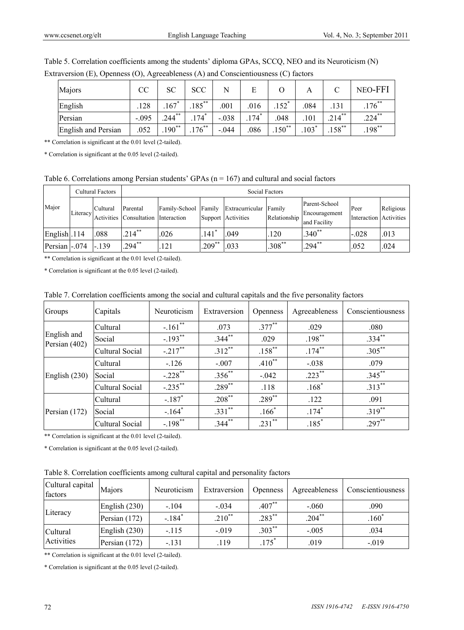| $\alpha$ наversion (E), Openness (O), Agreeableness (A) and Conselentiousiless (C) factors |         |             |            |         |        |             |         |           |           |  |
|--------------------------------------------------------------------------------------------|---------|-------------|------------|---------|--------|-------------|---------|-----------|-----------|--|
| Majors                                                                                     | CC      | SC          | <b>SCC</b> | N       | Е      |             | А       | C         | NEO-FFI   |  |
| English                                                                                    | .128    | $.167*$     | $.185***$  | .001    | .016   | $.152*$     | .084    | .131      | $.176***$ |  |
| Persian                                                                                    | $-.095$ | $244$ **    | $174*$     | $-.038$ | $174*$ | .048        | .101    | $.214***$ | $.224***$ |  |
| English and Persian                                                                        | .052    | $.190^{**}$ | $.176***$  | $-.044$ | .086   | $.150^{**}$ | $.103*$ | $.158***$ | $.198***$ |  |

| Table 5. Correlation coefficients among the students' diploma GPAs, SCCQ, NEO and its Neuroticism (N) |
|-------------------------------------------------------------------------------------------------------|
| Extraversion $(E)$ , Openness $(O)$ , Agreeableness $(A)$ and Conscientiousness $(C)$ factors         |

\*\* Correlation is significant at the 0.01 level (2-tailed).

\* Correlation is significant at the 0.05 level (2-tailed).

# Table 6. Correlations among Persian students' GPAs ( $n = 167$ ) and cultural and social factors

|               | <b>Cultural Factors</b> |          | <b>Social Factors</b>                           |                      |                     |                                              |              |                                                |                     |                         |  |
|---------------|-------------------------|----------|-------------------------------------------------|----------------------|---------------------|----------------------------------------------|--------------|------------------------------------------------|---------------------|-------------------------|--|
| Major         | Literacy                | Cultural | Parental<br>Activities Consultation Interaction | Family-School Family |                     | Extracurricular Family<br>Support Activities | Relationship | Parent-School<br>Encouragement<br>and Facility | Peer<br>Interaction | Religious<br>Activities |  |
| English .114  |                         | .088     | $1.214$ **                                      | .026                 | $.141$ <sup>*</sup> | .049                                         | .120         | $.340**$                                       | $-.028$             | .013                    |  |
| Persian -.074 |                         | $-139$   | $294^{**}$                                      | 121                  | $1.209$ **          | .033                                         | $.308***$    | $.294***$                                      | .052                | .024                    |  |

\*\* Correlation is significant at the 0.01 level (2-tailed).

\* Correlation is significant at the 0.05 level (2-tailed).

| Groups                       | Capitals        | Neuroticism          | Extraversion | <b>Openness</b> | Agreeableness | Conscientiousness |
|------------------------------|-----------------|----------------------|--------------|-----------------|---------------|-------------------|
|                              | Cultural        | $-.161$ **           | .073         | $.377***$       | .029          | .080              |
| English and<br>Persian (402) | Social          | $-.193$ **           | $.344$ **    | .029            | $.198***$     | $.334***$         |
|                              | Cultural Social | $-.217***$           | $.312***$    | $.158***$       | $.174$ **     | $.305***$         |
|                              | Cultural        | $-126$               | $-.007$      | $.410^{**}$     | $-.038$       | .079              |
| English $(230)$              | Social          | $-.228$ **           | $.356^{**}$  | $-.042$         | $.223$ **     | $.345$ **         |
|                              | Cultural Social | $-.235***$           | $.289$ **    | .118            | $.168*$       | $.313***$         |
|                              | Cultural        | $-.187*$             | $.208***$    | $.289$ **       | .122          | .091              |
| Persian $(172)$              | Social          | $-.164$ <sup>*</sup> | $.331$ **    | $.166*$         | $.174*$       | $.319$ **         |
|                              | Cultural Social | $-.198$ **           | $.344$ **    | $.231$ **       | $.185*$       | $.297**$          |

Table 7. Correlation coefficients among the social and cultural capitals and the five personality factors

\*\* Correlation is significant at the 0.01 level (2-tailed).

\* Correlation is significant at the 0.05 level (2-tailed).

Table 8. Correlation coefficients among cultural capital and personality factors

| Cultural capital<br>factors | Majors          | Neuroticism          | Extraversion | <b>Openness</b> | Agreeableness | Conscientiousness |
|-----------------------------|-----------------|----------------------|--------------|-----------------|---------------|-------------------|
|                             | English (230)   | $-.104$              | $-.034$      | $.407***$       | $-.060$       | .090              |
| Literacy                    | Persian (172)   | $-.184$ <sup>*</sup> | $.210^{**}$  | $.283***$       | $.204***$     | $.160*$           |
| Cultural                    | English $(230)$ | $-.115$              | $-.019$      | $.303***$       | $-.005$       | .034              |
| Activities                  | Persian (172)   | $-.131$              | .119         | $.175*$         | .019          | $-0.019$          |

\*\* Correlation is significant at the 0.01 level (2-tailed).

\* Correlation is significant at the 0.05 level (2-tailed).